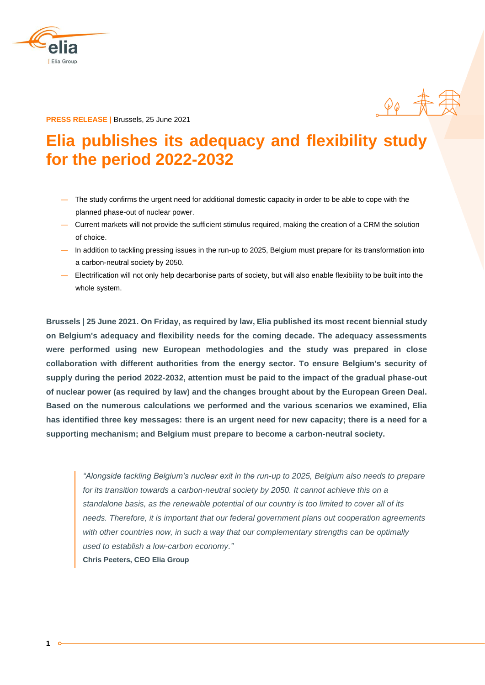

**PRESS RELEASE |** Brussels, 25 June 2021

# **Elia publishes its adequacy and flexibility study for the period 2022-2032**

 $90 + \frac{4}{11}$ 

- ― The study confirms the urgent need for additional domestic capacity in order to be able to cope with the planned phase-out of nuclear power.
- ― Current markets will not provide the sufficient stimulus required, making the creation of a CRM the solution of choice.
- ― In addition to tackling pressing issues in the run-up to 2025, Belgium must prepare for its transformation into a carbon-neutral society by 2050.
- ― Electrification will not only help decarbonise parts of society, but will also enable flexibility to be built into the whole system.

**Brussels | 25 June 2021. On Friday, as required by law, Elia published its most recent biennial study on Belgium's adequacy and flexibility needs for the coming decade. The adequacy assessments were performed using new European methodologies and the study was prepared in close collaboration with different authorities from the energy sector. To ensure Belgium's security of supply during the period 2022-2032, attention must be paid to the impact of the gradual phase-out of nuclear power (as required by law) and the changes brought about by the European Green Deal. Based on the numerous calculations we performed and the various scenarios we examined, Elia has identified three key messages: there is an urgent need for new capacity; there is a need for a supporting mechanism; and Belgium must prepare to become a carbon-neutral society.**

*"Alongside tackling Belgium's nuclear exit in the run-up to 2025, Belgium also needs to prepare for its transition towards a carbon-neutral society by 2050. It cannot achieve this on a standalone basis, as the renewable potential of our country is too limited to cover all of its needs. Therefore, it is important that our federal government plans out cooperation agreements with other countries now, in such a way that our complementary strengths can be optimally used to establish a low-carbon economy."* **Chris Peeters, CEO Elia Group**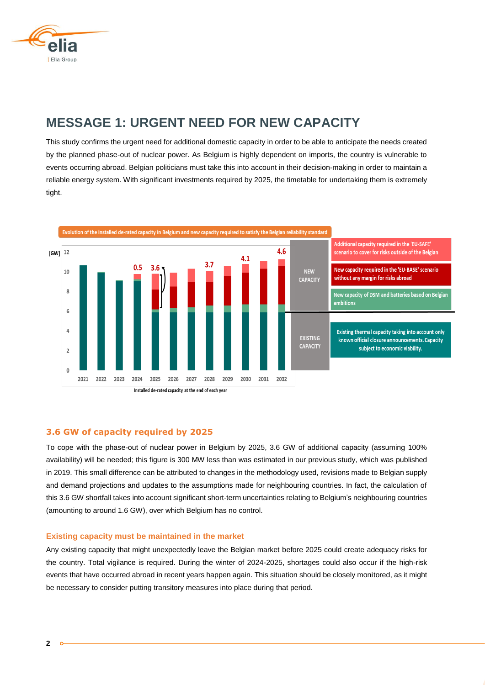

# **MESSAGE 1: URGENT NEED FOR NEW CAPACITY**

This study confirms the urgent need for additional domestic capacity in order to be able to anticipate the needs created by the planned phase-out of nuclear power. As Belgium is highly dependent on imports, the country is vulnerable to events occurring abroad. Belgian politicians must take this into account in their decision-making in order to maintain a reliable energy system. With significant investments required by 2025, the timetable for undertaking them is extremely tight.

Evolution of the installed de-rated capacity in Belgium and new capacity required to satisfy the Belgian reliability standard



### **3.6 GW of capacity required by 2025**

To cope with the phase-out of nuclear power in Belgium by 2025, 3.6 GW of additional capacity (assuming 100% availability) will be needed; this figure is 300 MW less than was estimated in our previous study, which was published in 2019. This small difference can be attributed to changes in the methodology used, revisions made to Belgian supply and demand projections and updates to the assumptions made for neighbouring countries. In fact, the calculation of this 3.6 GW shortfall takes into account significant short-term uncertainties relating to Belgium's neighbouring countries (amounting to around 1.6 GW), over which Belgium has no control.

#### **Existing capacity must be maintained in the market**

Any existing capacity that might unexpectedly leave the Belgian market before 2025 could create adequacy risks for the country. Total vigilance is required. During the winter of 2024-2025, shortages could also occur if the high-risk events that have occurred abroad in recent years happen again. This situation should be closely monitored, as it might be necessary to consider putting transitory measures into place during that period.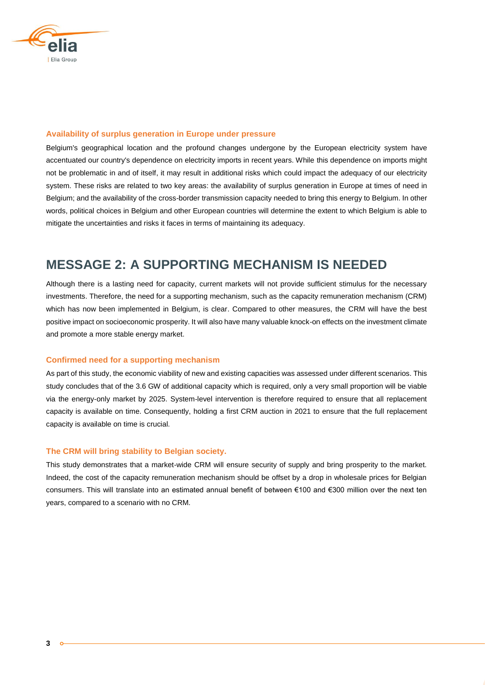

#### **Availability of surplus generation in Europe under pressure**

Belgium's geographical location and the profound changes undergone by the European electricity system have accentuated our country's dependence on electricity imports in recent years. While this dependence on imports might not be problematic in and of itself, it may result in additional risks which could impact the adequacy of our electricity system. These risks are related to two key areas: the availability of surplus generation in Europe at times of need in Belgium; and the availability of the cross-border transmission capacity needed to bring this energy to Belgium. In other words, political choices in Belgium and other European countries will determine the extent to which Belgium is able to mitigate the uncertainties and risks it faces in terms of maintaining its adequacy.

# **MESSAGE 2: A SUPPORTING MECHANISM IS NEEDED**

Although there is a lasting need for capacity, current markets will not provide sufficient stimulus for the necessary investments. Therefore, the need for a supporting mechanism, such as the capacity remuneration mechanism (CRM) which has now been implemented in Belgium, is clear. Compared to other measures, the CRM will have the best positive impact on socioeconomic prosperity. It will also have many valuable knock-on effects on the investment climate and promote a more stable energy market.

#### **Confirmed need for a supporting mechanism**

As part of this study, the economic viability of new and existing capacities was assessed under different scenarios. This study concludes that of the 3.6 GW of additional capacity which is required, only a very small proportion will be viable via the energy-only market by 2025. System-level intervention is therefore required to ensure that all replacement capacity is available on time. Consequently, holding a first CRM auction in 2021 to ensure that the full replacement capacity is available on time is crucial.

#### **The CRM will bring stability to Belgian society.**

This study demonstrates that a market-wide CRM will ensure security of supply and bring prosperity to the market. Indeed, the cost of the capacity remuneration mechanism should be offset by a drop in wholesale prices for Belgian consumers. This will translate into an estimated annual benefit of between €100 and €300 million over the next ten years, compared to a scenario with no CRM.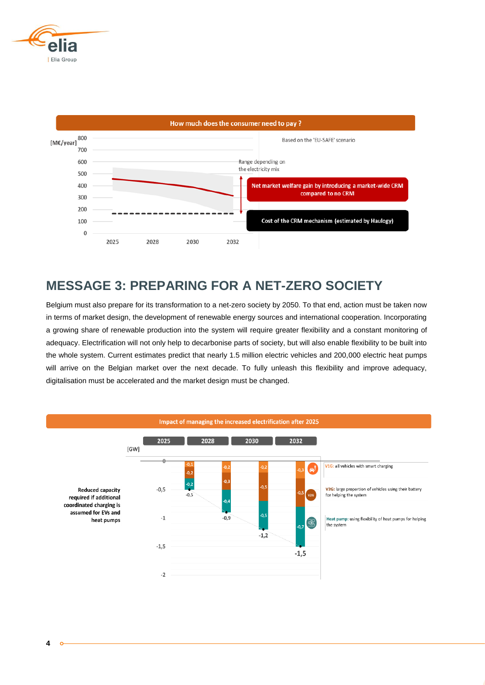



# **MESSAGE 3: PREPARING FOR A NET-ZERO SOCIETY**

Belgium must also prepare for its transformation to a net-zero society by 2050. To that end, action must be taken now in terms of market design, the development of renewable energy sources and international cooperation. Incorporating a growing share of renewable production into the system will require greater flexibility and a constant monitoring of adequacy. Electrification will not only help to decarbonise parts of society, but will also enable flexibility to be built into the whole system. Current estimates predict that nearly 1.5 million electric vehicles and 200,000 electric heat pumps will arrive on the Belgian market over the next decade. To fully unleash this flexibility and improve adequacy, digitalisation must be accelerated and the market design must be changed.

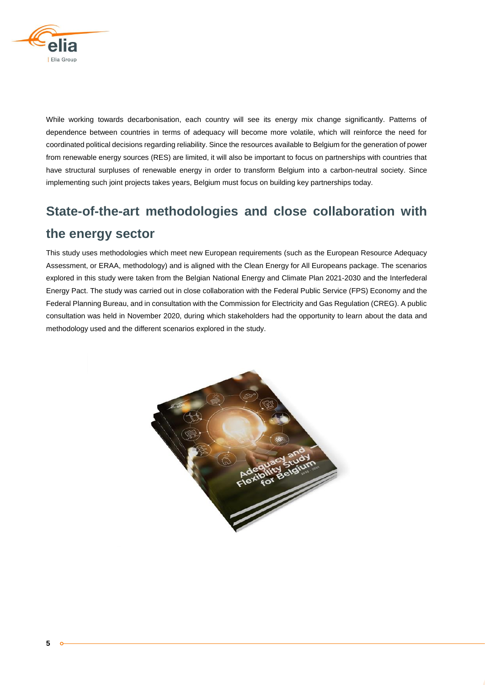

While working towards decarbonisation, each country will see its energy mix change significantly. Patterns of dependence between countries in terms of adequacy will become more volatile, which will reinforce the need for coordinated political decisions regarding reliability. Since the resources available to Belgium for the generation of power from renewable energy sources (RES) are limited, it will also be important to focus on partnerships with countries that have structural surpluses of renewable energy in order to transform Belgium into a carbon-neutral society. Since implementing such joint projects takes years, Belgium must focus on building key partnerships today.

# **State-of-the-art methodologies and close collaboration with the energy sector**

This study uses methodologies which meet new European requirements (such as the European Resource Adequacy Assessment, or ERAA, methodology) and is aligned with the Clean Energy for All Europeans package. The scenarios explored in this study were taken from the Belgian National Energy and Climate Plan 2021-2030 and the Interfederal Energy Pact. The study was carried out in close collaboration with the Federal Public Service (FPS) Economy and the Federal Planning Bureau, and in consultation with the Commission for Electricity and Gas Regulation (CREG). A public consultation was held in November 2020, during which stakeholders had the opportunity to learn about the data and methodology used and the different scenarios explored in the study.